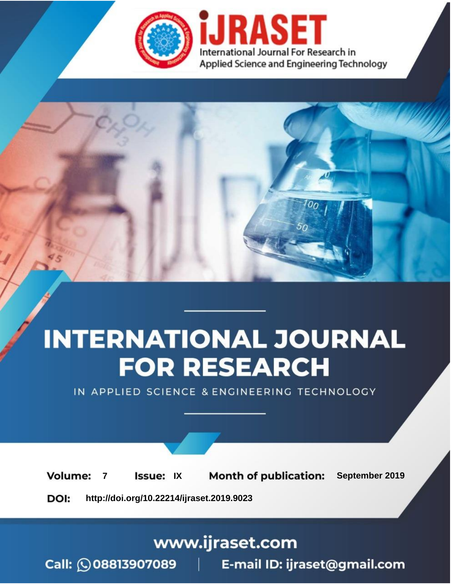

# **INTERNATIONAL JOURNAL FOR RESEARCH**

IN APPLIED SCIENCE & ENGINEERING TECHNOLOGY

**Month of publication: Volume: Issue: IX** September 2019  $\overline{7}$ DOI: http://doi.org/10.22214/ijraset.2019.9023

www.ijraset.com

 $Call: \bigcirc$ 08813907089 E-mail ID: ijraset@gmail.com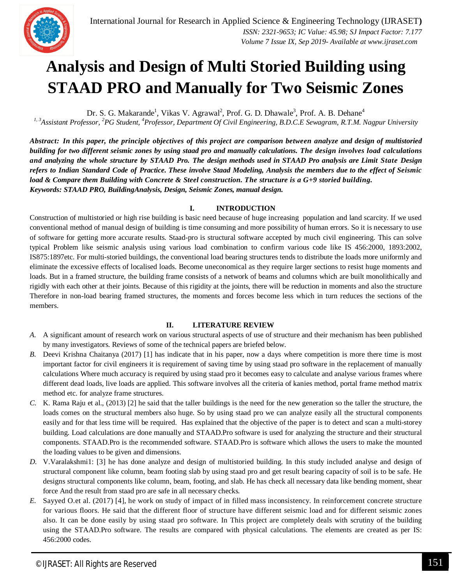

### **Analysis and Design of Multi Storied Building using STAAD PRO and Manually for Two Seismic Zones**

Dr. S. G. Makarande<sup>1</sup>, Vikas V. Agrawal<sup>2</sup>, Prof. G. D. Dhawale<sup>3</sup>, Prof. A. B. Dehane<sup>4</sup>

*1, 3Assistant Professor, <sup>2</sup>PG Student, <sup>4</sup>Professor, Department Of Civil Engineering, B.D.C.E Sewagram, R.T.M. Nagpur University*

*Abstract: In this paper, the principle objectives of this project are comparison between analyze and design of multistoried building for two different seismic zones by using staad pro and manually calculations. The design involves load calculations and analyzing the whole structure by STAAD Pro. The design methods used in STAAD Pro analysis are Limit State Design* refers to Indian Standard Code of Practice. These involve Staad Modeling, Analysis the members due to the effect of Seismic *load & Compare them Building with Concrete & Steel construction. The structure is a G+9 storied building. Keywords: STAAD PRO, BuildingAnalysis, Design, Seismic Zones, manual design.*

#### **I. INTRODUCTION**

Construction of multistoried or high rise building is basic need because of huge increasing population and land scarcity. If we used conventional method of manual design of building is time consuming and more possibility of human errors. So it is necessary to use of software for getting more accurate results. Staad-pro is structural software accepted by much civil engineering. This can solve typical Problem like seismic analysis using various load combination to confirm various code like IS 456:2000, 1893:2002, IS875:1897etc. For multi-storied buildings, the conventional load bearing structures tends to distribute the loads more uniformly and eliminate the excessive effects of localised loads. Become uneconomical as they require larger sections to resist huge moments and loads. But in a framed structure, the building frame consists of a network of beams and columns which are built monolithically and rigidly with each other at their joints. Because of this rigidity at the joints, there will be reduction in moments and also the structure Therefore in non-load bearing framed structures, the moments and forces become less which in turn reduces the sections of the members.

#### **II. LITERATURE REVIEW**

- *A.* A significant amount of research work on various structural aspects of use of structure and their mechanism has been published by many investigators. Reviews of some of the technical papers are briefed below.
- *B.* Deevi Krishna Chaitanya (2017) [1] has indicate that in his paper, now a days where competition is more there time is most important factor for civil engineers it is requirement of saving time by using staad pro software in the replacement of manually calculations Where much accuracy is required by using staad pro it becomes easy to calculate and analyse various frames where different dead loads, live loads are applied. This software involves all the criteria of kanies method, portal frame method matrix method etc. for analyze frame structures.
- *C.* K. Rama Raju et al., (2013) [2] he said that the taller buildings is the need for the new generation so the taller the structure, the loads comes on the structural members also huge. So by using staad pro we can analyze easily all the structural components easily and for that less time will be required. Has explained that the objective of the paper is to detect and scan a multi-storey building. Load calculations are done manually and STAAD.Pro software is used for analyzing the structure and their structural components. STAAD.Pro is the recommended software. STAAD.Pro is software which allows the users to make the mounted the loading values to be given and dimensions.
- *D.* V.Varalakshmi1: [3] he has done analyze and design of multistoried building. In this study included analyse and design of structural component like column, beam footing slab by using staad pro and get result bearing capacity of soil is to be safe. He designs structural components like column, beam, footing, and slab. He has check all necessary data like bending moment, shear force And the result from staad pro are safe in all necessary checks.
- *E.* Sayyed O.et al. (2017) [4], he work on study of impact of in filled mass inconsistency. In reinforcement concrete structure for various floors. He said that the different floor of structure have different seismic load and for different seismic zones also. It can be done easily by using staad pro software. In This project are completely deals with scrutiny of the building using the STAAD.Pro software. The results are compared with physical calculations. The elements are created as per IS: 456:2000 codes.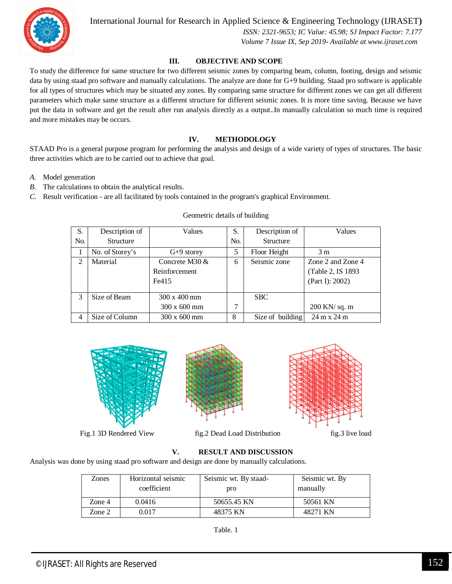

International Journal for Research in Applied Science & Engineering Technology (IJRASET**)**

 *ISSN: 2321-9653; IC Value: 45.98; SJ Impact Factor: 7.177 Volume 7 Issue IX, Sep 2019- Available at www.ijraset.com*

#### **III. OBJECTIVE AND SCOPE**

To study the difference for same structure for two different seismic zones by comparing beam, column, footing, design and seismic data by using staad pro software and manually calculations. The analyze are done for G+9 building. Staad pro software is applicable for all types of structures which may be situated any zones. By comparing same structure for different zones we can get all different parameters which make same structure as a different structure for different seismic zones. It is more time saving. Because we have put the data in software and get the result after run analysis directly as a output..In manually calculation so much time is required and more mistakes may be occurs.

#### **IV. METHODOLOGY**

STAAD Pro is a general purpose program for performing the analysis and design of a wide variety of types of structures. The basic three activities which are to be carried out to achieve that goal.

- *A.* Model generation
- *B.* The calculations to obtain the analytical results.
- *C.* Result verification are all facilitated by tools contained in the program's graphical Environment.

| S.             | Description of  | Values                         | S.  | Description of   | Values                             |
|----------------|-----------------|--------------------------------|-----|------------------|------------------------------------|
| No.            | Structure       |                                | No. | <b>Structure</b> |                                    |
|                | No. of Storey's | $G+9$ storey                   | 5   | Floor Height     | 3 <sub>m</sub>                     |
| $\overline{2}$ | Material        | Concrete $M30 \&$              | 6   | Seismic zone     | Zone 2 and Zone 4                  |
|                |                 | Reinforcement                  |     |                  | (Table 2, IS 1893)                 |
|                |                 | Fe415                          |     |                  | (Part I): 2002)                    |
| 3              | Size of Beam    | $300 \times 400 \,\mathrm{mm}$ |     | <b>SBC</b>       |                                    |
|                |                 | $300 \times 600 \text{ mm}$    | 7   |                  | 200 KN/sq. m                       |
| 4              | Size of Column  | $300 \times 600 \text{ mm}$    | 8   | Size of building | $24 \text{ m} \times 24 \text{ m}$ |

#### Geometric details of building



Fig.1 3D Rendered View fig.2 Dead Load Distribution fig.3 live load

#### **V. RESULT AND DISCUSSION**

Analysis was done by using staad pro software and design are done by manually calculations.

| Zones  | Horizontal seismic<br>coefficient | Seismic wt. By staad-<br>pro | Seismic wt. By<br>manually |
|--------|-----------------------------------|------------------------------|----------------------------|
| Zone 4 | 0.0416                            | 50655.45 KN                  | 50561 KN                   |
| Zone 2 | 0.017                             | 48375 KN                     | 48271 KN                   |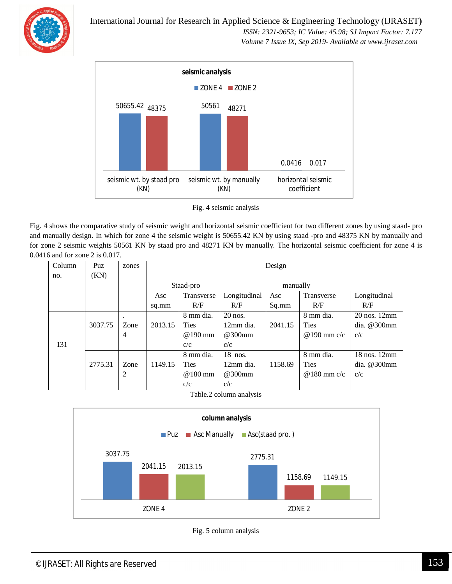

International Journal for Research in Applied Science & Engineering Technology (IJRASET**)**

 *ISSN: 2321-9653; IC Value: 45.98; SJ Impact Factor: 7.177 Volume 7 Issue IX, Sep 2019- Available at www.ijraset.com*



Fig. 4 seismic analysis

Fig. 4 shows the comparative study of seismic weight and horizontal seismic coefficient for two different zones by using staad- pro and manually design. In which for zone 4 the seismic weight is 50655.42 KN by using staad -pro and 48375 KN by manually and for zone 2 seismic weights 50561 KN by staad pro and 48271 KN by manually. The horizontal seismic coefficient for zone 4 is 0.0416 and for zone 2 is 0.017.

| Column | Puz     | zones     | Design    |             |               |          |               |                   |
|--------|---------|-----------|-----------|-------------|---------------|----------|---------------|-------------------|
| no.    | (KN)    |           |           |             |               |          |               |                   |
|        |         |           | Staad-pro |             |               | manually |               |                   |
|        |         |           | Asc       | Transverse  | Longitudinal  | Asc      | Transverse    | Longitudinal      |
|        |         |           | sq.mm     | R/F         | R/F           | Sq.mm    | R/F           | R/F               |
|        |         | $\bullet$ |           | 8 mm dia.   | $20$ nos.     |          | 8 mm dia.     | $20$ nos. $12$ mm |
|        | 3037.75 | Zone      | 2013.15   | <b>Ties</b> | 12mm dia.     | 2041.15  | <b>Ties</b>   | dia. @300mm       |
|        |         | 4         |           | @190 mm     | @300mm        |          | @190 mm c/c   | c/c               |
| 131    |         |           |           | c/c         | c/c           |          |               |                   |
|        |         |           |           | 8 mm dia.   | $18$ nos.     |          | 8 mm dia.     | $18$ nos. $12$ mm |
|        | 2775.31 | Zone      | 1149.15   | <b>Ties</b> | 12mm dia.     | 1158.69  | <b>Ties</b>   | dia. @300mm       |
|        |         | 2         |           | @180 mm     | @300mm        |          | $@180$ mm c/c | c/c               |
|        |         |           |           | c/c         | c/c<br>$\sim$ |          |               |                   |

Table.2 column analysis



Fig. 5 column analysis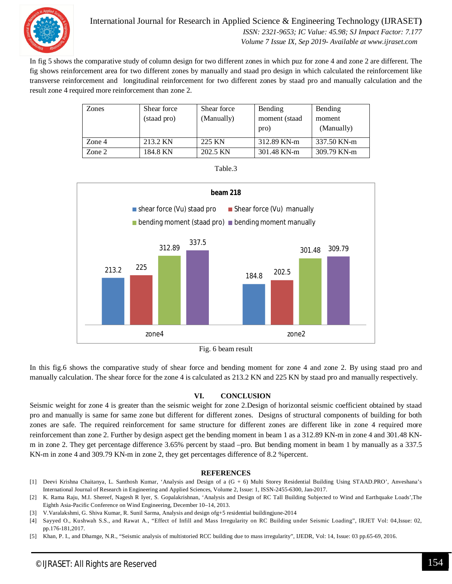

International Journal for Research in Applied Science & Engineering Technology (IJRASET**)**  *ISSN: 2321-9653; IC Value: 45.98; SJ Impact Factor: 7.177*

 *Volume 7 Issue IX, Sep 2019- Available at www.ijraset.com*

In fig 5 shows the comparative study of column design for two different zones in which puz for zone 4 and zone 2 are different. The fig shows reinforcement area for two different zones by manually and staad pro design in which calculated the reinforcement like transverse reinforcement and longitudinal reinforcement for two different zones by staad pro and manually calculation and the result zone 4 required more reinforcement than zone 2.

| Zones  | Shear force | Shear force | Bending       | Bending     |  |
|--------|-------------|-------------|---------------|-------------|--|
|        | (staad pro) | (Manually)  | moment (staad | moment      |  |
|        |             |             | pro)          | (Manually)  |  |
| Zone 4 | 213.2 KN    | 225 KN      | 312.89 KN-m   | 337.50 KN-m |  |
| Zone 2 | 184.8 KN    | 202.5 KN    | 301.48 KN-m   | 309.79 KN-m |  |



In this fig.6 shows the comparative study of shear force and bending moment for zone 4 and zone 2. By using staad pro and manually calculation. The shear force for the zone 4 is calculated as 213.2 KN and 225 KN by staad pro and manually respectively.

#### **VI. CONCLUSION**

Seismic weight for zone 4 is greater than the seismic weight for zone 2.Design of horizontal seismic coefficient obtained by staad pro and manually is same for same zone but different for different zones. Designs of structural components of building for both zones are safe. The required reinforcement for same structure for different zones are different like in zone 4 required more reinforcement than zone 2. Further by design aspect get the bending moment in beam 1 as a 312.89 KN-m in zone 4 and 301.48 KNm in zone 2. They get percentage difference 3.65% percent by staad –pro. But bending moment in beam 1 by manually as a 337.5 KN-m in zone 4 and 309.79 KN-m in zone 2, they get percentages difference of 8.2 %percent.

#### **REFERENCES**

- [1] Deevi Krishna Chaitanya, L. Santhosh Kumar, 'Analysis and Design of a (G + 6) Multi Storey Residential Building Using STAAD.PRO', Anveshana's International Journal of Research in Engineering and Applied Sciences, Volume 2, Issue: 1, ISSN-2455-6300, Jan-2017.
- [2] K. Rama Raju, M.I. Shereef, Nagesh R Iyer, S. Gopalakrishnan, 'Analysis and Design of RC Tall Building Subjected to Wind and Earthquake Loads',The Eighth Asia-Pacific Conference on Wind Engineering, December 10–14, 2013.
- [3] V.Varalakshmi, G. Shiva Kumar, R. Sunil Sarma, Analysis and design ofg+5 residential buildingjune-2014
- [4] Sayyed O., Kushwah S.S., and Rawat A., "Effect of Infill and Mass Irregularity on RC Building under Seismic Loading", IRJET Vol: 04,Issue: 02, pp.176-181,2017.
- [5] Khan, P. I., and Dhamge, N.R., "Seismic analysis of multistoried RCC building due to mass irregularity", IJEDR, Vol: 14, Issue: 03 pp.65-69, 2016.

#### Table.3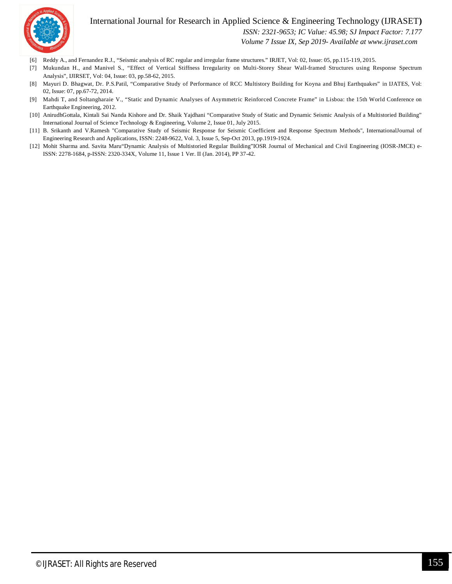#### International Journal for Research in Applied Science & Engineering Technology (IJRASET**)**



 *ISSN: 2321-9653; IC Value: 45.98; SJ Impact Factor: 7.177*

 *Volume 7 Issue IX, Sep 2019- Available at www.ijraset.com*

- [6] Reddy A., and Fernandez R.J., "Seismic analysis of RC regular and irregular frame structures." IRJET, Vol: 02, Issue: 05, pp.115-119, 2015.
- [7] Mukundan H., and Manivel S., "Effect of Vertical Stiffness Irregularity on Multi-Storey Shear Wall-framed Structures using Response Spectrum Analysis", IJIRSET, Vol: 04, Issue: 03, pp.58-62, 2015.
- [8] Mayuri D. Bhagwat, Dr. P.S.Patil, "Comparative Study of Performance of RCC Multistory Building for Koyna and Bhuj Earthquakes" in IJATES, Vol: 02, Issue: 07, pp.67-72, 2014.
- [9] Mahdi T, and Soltangharaie V., "Static and Dynamic Analyses of Asymmetric Reinforced Concrete Frame" in Lisboa: the 15th World Conference on Earthquake Engineering, 2012.
- [10] AnirudhGottala, Kintali Sai Nanda Kishore and Dr. Shaik Yajdhani "Comparative Study of Static and Dynamic Seismic Analysis of a Multistoried Building" International Journal of Science Technology & Engineering, Volume 2, Issue 01, July 2015.
- [11] B. Srikanth and V.Ramesh "Comparative Study of Seismic Response for Seismic Coefficient and Response Spectrum Methods", InternationalJournal of Engineering Research and Applications, ISSN: 2248-9622, Vol. 3, Issue 5, Sep-Oct 2013, pp.1919-1924.
- [12] Mohit Sharma and. Savita Maru"Dynamic Analysis of Multistoried Regular Building"IOSR Journal of Mechanical and Civil Engineering (IOSR-JMCE) e-ISSN: 2278-1684, p-ISSN: 2320-334X, Volume 11, Issue 1 Ver. II (Jan. 2014), PP 37-42.